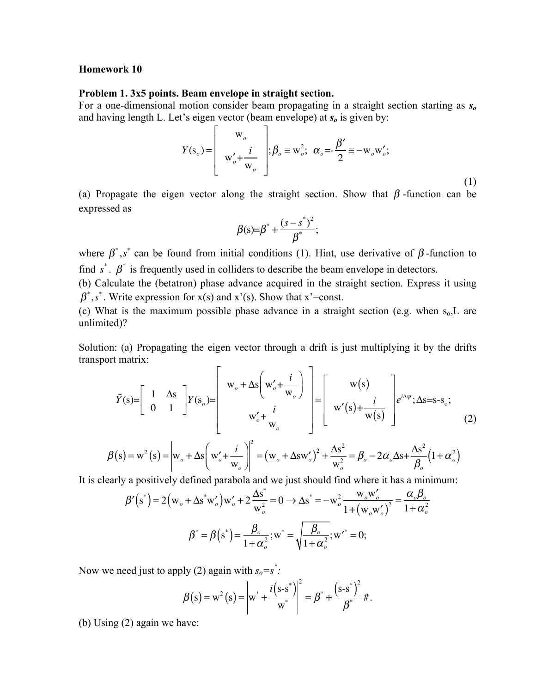## **Homework 10**

## **Problem 1. 3x5 points. Beam envelope in straight section.**

For a one-dimensional motion consider beam propagating in a straight section starting as *so* and having length L. Let's eigen vector (beam envelope) at *so* is given by:

$$
Y(s_o) = \begin{bmatrix} w_o \\ w'_o + \frac{i}{w_o} \\ w'_o + \frac{i}{w_o} \end{bmatrix}; \beta_o \equiv w_o^2; \ \alpha_o = -\frac{\beta'}{2} \equiv -w_o w'_o; \tag{1}
$$

(a) Propagate the eigen vector along the straight section. Show that  $\beta$ -function can be expressed as

$$
\beta(s)=\beta^*+\frac{(s-s^*)^2}{\beta^*};
$$

where  $\beta^*$ , s<sup>\*</sup> can be found from initial conditions (1). Hint, use derivative of  $\beta$ -function to find  $s^*$ .  $\beta^*$  is frequently used in colliders to describe the beam envelope in detectors.

(b) Calculate the (betatron) phase advance acquired in the straight section. Express it using  $\beta^*$ ,  $s^*$ . Write expression for x(s) and x'(s). Show that x'=const.

(c) What is the maximum possible phase advance in a straight section (e.g. when  $s_0$ , L are unlimited)?

Solution: (a) Propagating the eigen vector through a drift is just multiplying it by the drifts transport matrix:  $\blacksquare$  $\mathbf{\overline{a}}$ 

$$
\tilde{Y}(s) = \begin{bmatrix} 1 & \Delta s \\ 0 & 1 \end{bmatrix} Y(s_o) = \begin{bmatrix} w_o + \Delta s \left( w'_o + \frac{i}{w_o} \right) \\ w'_o + \frac{i}{w_o} \end{bmatrix} = \begin{bmatrix} w(s) \\ w'(s) + \frac{i}{w(s)} \end{bmatrix} e^{i\Delta\psi}; \Delta s = s - s_o; \tag{2}
$$

$$
\beta(s) = w^2(s) = \left| w_o + \Delta s \left( w_o' + \frac{i}{w_o} \right) \right|^2 = \left( w_o + \Delta s w_o' \right)^2 + \frac{\Delta s^2}{w_o^2} = \beta_o - 2\alpha_o \Delta s + \frac{\Delta s^2}{\beta_o} \left( 1 + \alpha_o^2 \right)
$$

It is clearly a positively defined parabola and we just should find where it has a minimum:

$$
\beta'(s^*) = 2(w_o + \Delta s^* w'_o) w'_o + 2 \frac{\Delta s^*}{w_o^2} = 0 \rightarrow \Delta s^* = -w_o^2 \frac{w_o w'_o}{1 + (w_o w'_o)^2} = \frac{\alpha_o \beta_o}{1 + \alpha_o^2}
$$
  

$$
\beta^* = \beta(s^*) = \frac{\beta_o}{1 + \alpha_o^2}; w^* = \sqrt{\frac{\beta_o}{1 + \alpha_o^2}}; w'^* = 0;
$$

Now we need just to apply (2) again with  $s_o = s^*$ .

$$
\beta(s) = w^{2}(s) = \left| w^{*} + \frac{i(s-s^{*})}{w^{*}} \right|^{2} = \beta^{*} + \frac{(s-s^{*})^{2}}{\beta^{*}} \#.
$$

(b) Using (2) again we have: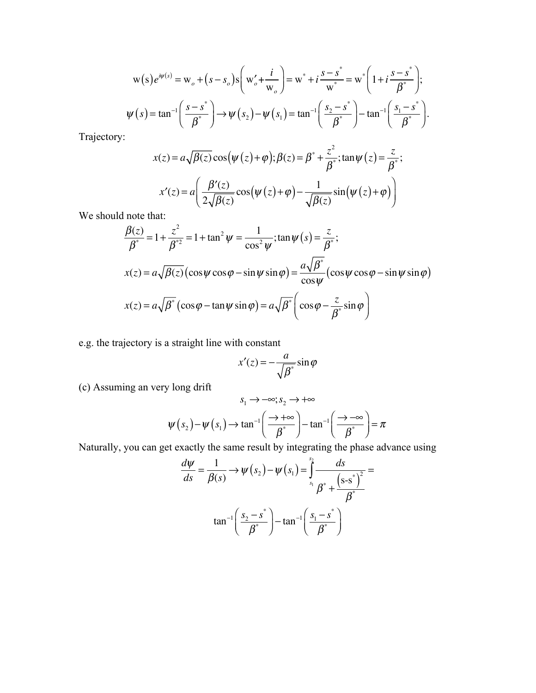$$
w(s)e^{i\psi(s)} = w_o + (s - s_o)s \left(w'_o + \frac{i}{w_o}\right) = w^* + i\frac{s - s^*}{w^*} = w^* \left(1 + i\frac{s - s^*}{\beta^*}\right);
$$
  

$$
\psi(s) = \tan^{-1}\left(\frac{s - s^*}{\beta^*}\right) \to \psi(s_2) - \psi(s_1) = \tan^{-1}\left(\frac{s_2 - s^*}{\beta^*}\right) - \tan^{-1}\left(\frac{s_1 - s^*}{\beta^*}\right).
$$

Trajectory:

$$
x(z) = a\sqrt{\beta(z)}\cos(\psi(z) + \varphi); \beta(z) = \beta^* + \frac{z^2}{\beta^*}; \tan\psi(z) = \frac{z}{\beta^*};
$$

$$
x'(z) = a\left(\frac{\beta'(z)}{2\sqrt{\beta(z)}}\cos(\psi(z) + \varphi) - \frac{1}{\sqrt{\beta(z)}}\sin(\psi(z) + \varphi)\right)
$$

We should note that:

$$
\frac{\beta(z)}{\beta^*} = 1 + \frac{z^2}{\beta^{*2}} = 1 + \tan^2 \psi = \frac{1}{\cos^2 \psi}; \tan \psi(s) = \frac{z}{\beta^*};
$$
  

$$
x(z) = a\sqrt{\beta(z)} (\cos \psi \cos \phi - \sin \psi \sin \phi) = \frac{a\sqrt{\beta^*}}{\cos \psi} (\cos \psi \cos \phi - \sin \psi \sin \phi)
$$
  

$$
x(z) = a\sqrt{\beta^*} (\cos \phi - \tan \psi \sin \phi) = a\sqrt{\beta^*} \left( \cos \phi - \frac{z}{\beta^*} \sin \phi \right)
$$

e.g. the trajectory is a straight line with constant

$$
x'(z) = -\frac{a}{\sqrt{\beta^*}} \sin \varphi
$$

(c) Assuming an very long drift

$$
s_1 \to -\infty; s_2 \to +\infty
$$

$$
\psi(s_2) - \psi(s_1) \to \tan^{-1}\left(\frac{\to +\infty}{\beta^*}\right) - \tan^{-1}\left(\frac{\to -\infty}{\beta^*}\right) = \pi
$$

Naturally, you can get exactly the same result by integrating the phase advance using

$$
\frac{d\psi}{ds} = \frac{1}{\beta(s)} \rightarrow \psi(s_2) - \psi(s_1) = \int_{s_1}^{s_2} \frac{ds}{\beta^* + \frac{(s-s^*)^2}{\beta^*}}
$$

$$
\tan^{-1}\left(\frac{s_2 - s^*}{\beta^*}\right) - \tan^{-1}\left(\frac{s_1 - s^*}{\beta^*}\right)
$$